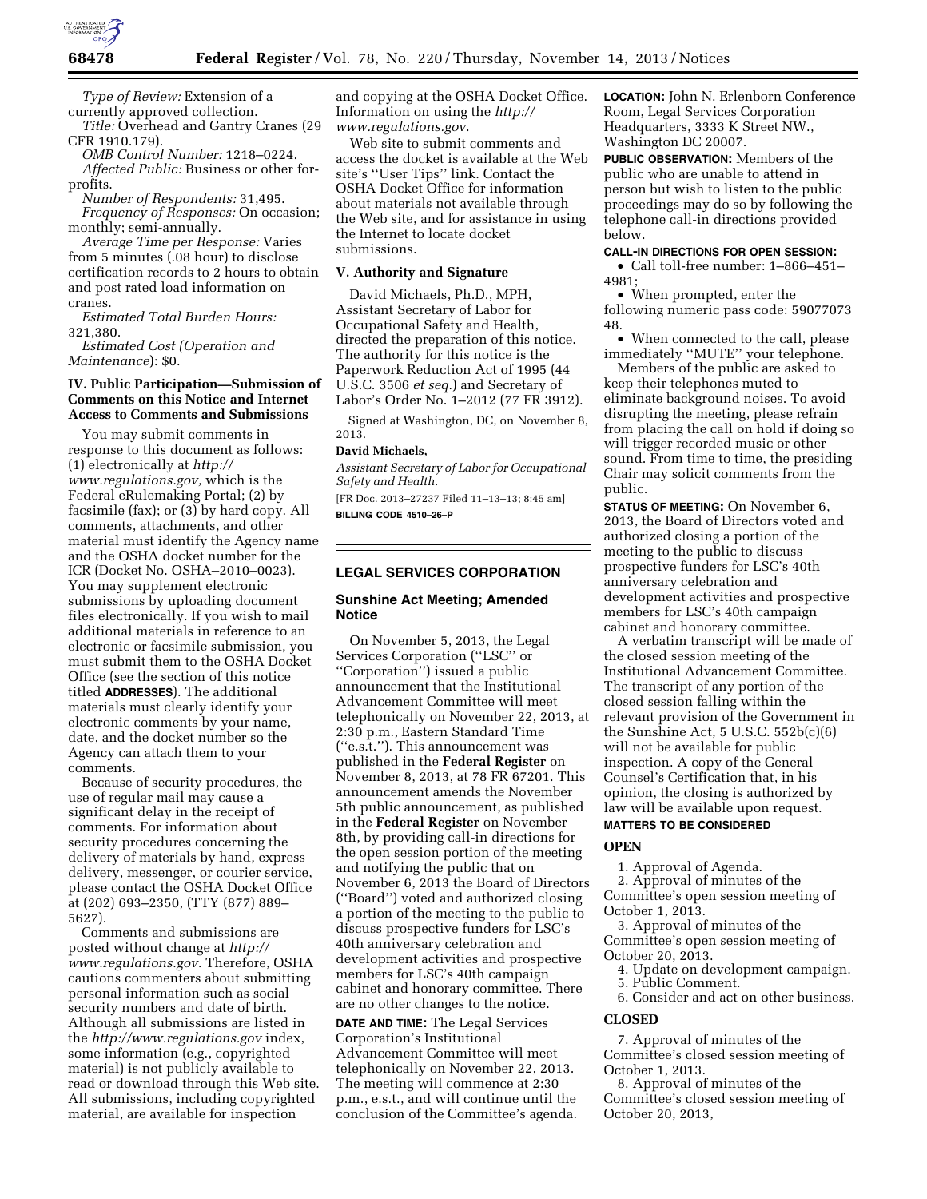

*Type of Review:* Extension of a currently approved collection.

*Title:* Overhead and Gantry Cranes (29 CFR 1910.179).

*OMB Control Number:* 1218–0224. *Affected Public:* Business or other forprofits.

*Number of Respondents:* 31,495. *Frequency of Responses:* On occasion; monthly; semi-annually.

*Average Time per Response:* Varies from 5 minutes (.08 hour) to disclose certification records to 2 hours to obtain and post rated load information on cranes.

*Estimated Total Burden Hours:*  321,380.

*Estimated Cost (Operation and Maintenance*): \$0.

# **IV. Public Participation—Submission of Comments on this Notice and Internet Access to Comments and Submissions**

You may submit comments in response to this document as follows: (1) electronically at *[http://](http://www.regulations.gov) [www.regulations.gov,](http://www.regulations.gov)* which is the Federal eRulemaking Portal; (2) by facsimile (fax); or (3) by hard copy. All comments, attachments, and other material must identify the Agency name and the OSHA docket number for the ICR (Docket No. OSHA–2010–0023). You may supplement electronic submissions by uploading document files electronically. If you wish to mail additional materials in reference to an electronic or facsimile submission, you must submit them to the OSHA Docket Office (see the section of this notice titled **ADDRESSES**). The additional materials must clearly identify your electronic comments by your name, date, and the docket number so the Agency can attach them to your comments.

Because of security procedures, the use of regular mail may cause a significant delay in the receipt of comments. For information about security procedures concerning the delivery of materials by hand, express delivery, messenger, or courier service, please contact the OSHA Docket Office at (202) 693–2350, (TTY (877) 889– 5627).

Comments and submissions are posted without change at *[http://](http://www.regulations.gov) [www.regulations.gov.](http://www.regulations.gov)* Therefore, OSHA cautions commenters about submitting personal information such as social security numbers and date of birth. Although all submissions are listed in the *<http://www.regulations.gov>*index, some information (e.g., copyrighted material) is not publicly available to read or download through this Web site. All submissions, including copyrighted material, are available for inspection

and copying at the OSHA Docket Office. Information on using the *[http://](http://www.regulations.gov) [www.regulations.gov](http://www.regulations.gov)*.

Web site to submit comments and access the docket is available at the Web site's ''User Tips'' link. Contact the OSHA Docket Office for information about materials not available through the Web site, and for assistance in using the Internet to locate docket submissions.

# **V. Authority and Signature**

David Michaels, Ph.D., MPH, Assistant Secretary of Labor for Occupational Safety and Health, directed the preparation of this notice. The authority for this notice is the Paperwork Reduction Act of 1995 (44 U.S.C. 3506 *et seq.*) and Secretary of Labor's Order No. 1–2012 (77 FR 3912).

Signed at Washington, DC, on November 8, 2013.

#### **David Michaels,**

*Assistant Secretary of Labor for Occupational Safety and Health.* 

[FR Doc. 2013–27237 Filed 11–13–13; 8:45 am] **BILLING CODE 4510–26–P** 

# **LEGAL SERVICES CORPORATION**

### **Sunshine Act Meeting; Amended Notice**

On November 5, 2013, the Legal Services Corporation (''LSC'' or ''Corporation'') issued a public announcement that the Institutional Advancement Committee will meet telephonically on November 22, 2013, at 2:30 p.m., Eastern Standard Time (''e.s.t.''). This announcement was published in the **Federal Register** on November 8, 2013, at 78 FR 67201. This announcement amends the November 5th public announcement, as published in the **Federal Register** on November 8th, by providing call-in directions for the open session portion of the meeting and notifying the public that on November 6, 2013 the Board of Directors (''Board'') voted and authorized closing a portion of the meeting to the public to discuss prospective funders for LSC's 40th anniversary celebration and development activities and prospective members for LSC's 40th campaign cabinet and honorary committee. There are no other changes to the notice.

**DATE AND TIME:** The Legal Services Corporation's Institutional Advancement Committee will meet telephonically on November 22, 2013. The meeting will commence at 2:30 p.m., e.s.t., and will continue until the conclusion of the Committee's agenda. **LOCATION:** John N. Erlenborn Conference Room, Legal Services Corporation Headquarters, 3333 K Street NW., Washington DC 20007.

**PUBLIC OBSERVATION:** Members of the public who are unable to attend in person but wish to listen to the public proceedings may do so by following the telephone call-in directions provided below.

### **CALL-IN DIRECTIONS FOR OPEN SESSION:**

• Call toll-free number: 1–866–451– 4981;

• When prompted, enter the following numeric pass code: 59077073 48.

• When connected to the call, please immediately ''MUTE'' your telephone.

Members of the public are asked to keep their telephones muted to eliminate background noises. To avoid disrupting the meeting, please refrain from placing the call on hold if doing so will trigger recorded music or other sound. From time to time, the presiding Chair may solicit comments from the public.

**STATUS OF MEETING:** On November 6, 2013, the Board of Directors voted and authorized closing a portion of the meeting to the public to discuss prospective funders for LSC's 40th anniversary celebration and development activities and prospective members for LSC's 40th campaign cabinet and honorary committee.

A verbatim transcript will be made of the closed session meeting of the Institutional Advancement Committee. The transcript of any portion of the closed session falling within the relevant provision of the Government in the Sunshine Act, 5 U.S.C. 552b(c)(6) will not be available for public inspection. A copy of the General Counsel's Certification that, in his opinion, the closing is authorized by law will be available upon request.

# **MATTERS TO BE CONSIDERED**

### **OPEN**

1. Approval of Agenda.

2. Approval of minutes of the Committee's open session meeting of October 1, 2013.

3. Approval of minutes of the Committee's open session meeting of October 20, 2013.

4. Update on development campaign.

- 5. Public Comment.
- 6. Consider and act on other business.

### **CLOSED**

7. Approval of minutes of the Committee's closed session meeting of October 1, 2013.

8. Approval of minutes of the Committee's closed session meeting of October 20, 2013,